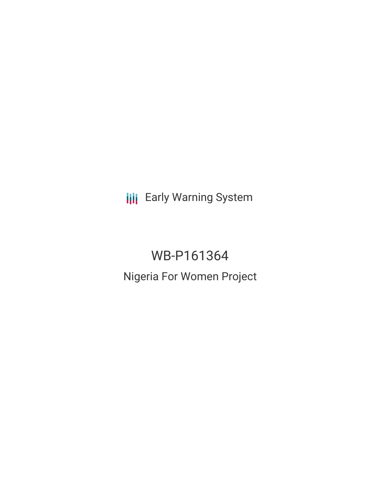**III** Early Warning System

WB-P161364 Nigeria For Women Project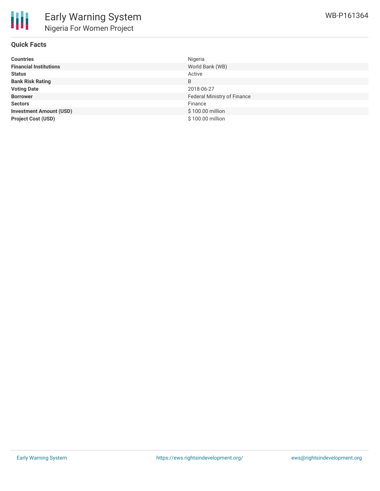

## **Quick Facts**

| <b>Countries</b>               | Nigeria                     |
|--------------------------------|-----------------------------|
| <b>Financial Institutions</b>  | World Bank (WB)             |
| <b>Status</b>                  | Active                      |
| <b>Bank Risk Rating</b>        | B                           |
| <b>Voting Date</b>             | 2018-06-27                  |
| <b>Borrower</b>                | Federal Ministry of Finance |
| <b>Sectors</b>                 | Finance                     |
| <b>Investment Amount (USD)</b> | \$100.00 million            |
| <b>Project Cost (USD)</b>      | \$100.00 million            |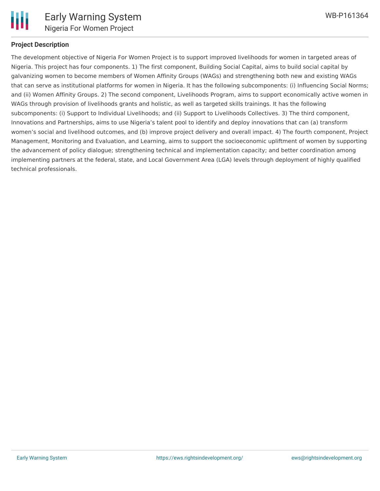

### **Project Description**

The development objective of Nigeria For Women Project is to support improved livelihoods for women in targeted areas of Nigeria. This project has four components. 1) The first component, Building Social Capital, aims to build social capital by galvanizing women to become members of Women Affinity Groups (WAGs) and strengthening both new and existing WAGs that can serve as institutional platforms for women in Nigeria. It has the following subcomponents: (i) Influencing Social Norms; and (ii) Women Affinity Groups. 2) The second component, Livelihoods Program, aims to support economically active women in WAGs through provision of livelihoods grants and holistic, as well as targeted skills trainings. It has the following subcomponents: (i) Support to Individual Livelihoods; and (ii) Support to Livelihoods Collectives. 3) The third component, Innovations and Partnerships, aims to use Nigeria's talent pool to identify and deploy innovations that can (a) transform women's social and livelihood outcomes, and (b) improve project delivery and overall impact. 4) The fourth component, Project Management, Monitoring and Evaluation, and Learning, aims to support the socioeconomic upliftment of women by supporting the advancement of policy dialogue; strengthening technical and implementation capacity; and better coordination among implementing partners at the federal, state, and Local Government Area (LGA) levels through deployment of highly qualified technical professionals.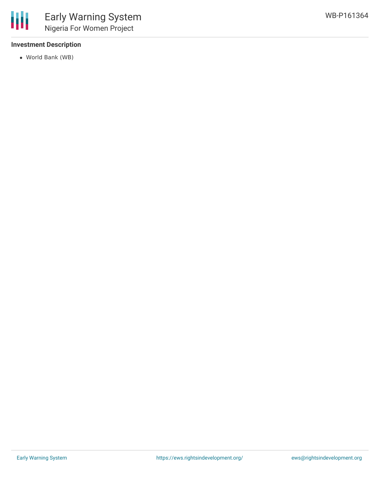# **Investment Description**

World Bank (WB)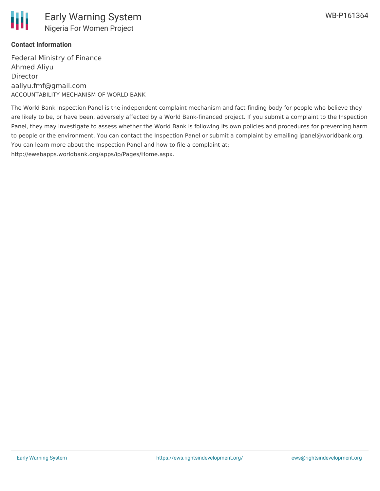

## **Contact Information**

Federal Ministry of Finance Ahmed Aliyu Director aaliyu.fmf@gmail.com ACCOUNTABILITY MECHANISM OF WORLD BANK

The World Bank Inspection Panel is the independent complaint mechanism and fact-finding body for people who believe they are likely to be, or have been, adversely affected by a World Bank-financed project. If you submit a complaint to the Inspection Panel, they may investigate to assess whether the World Bank is following its own policies and procedures for preventing harm to people or the environment. You can contact the Inspection Panel or submit a complaint by emailing ipanel@worldbank.org. You can learn more about the Inspection Panel and how to file a complaint at: http://ewebapps.worldbank.org/apps/ip/Pages/Home.aspx.